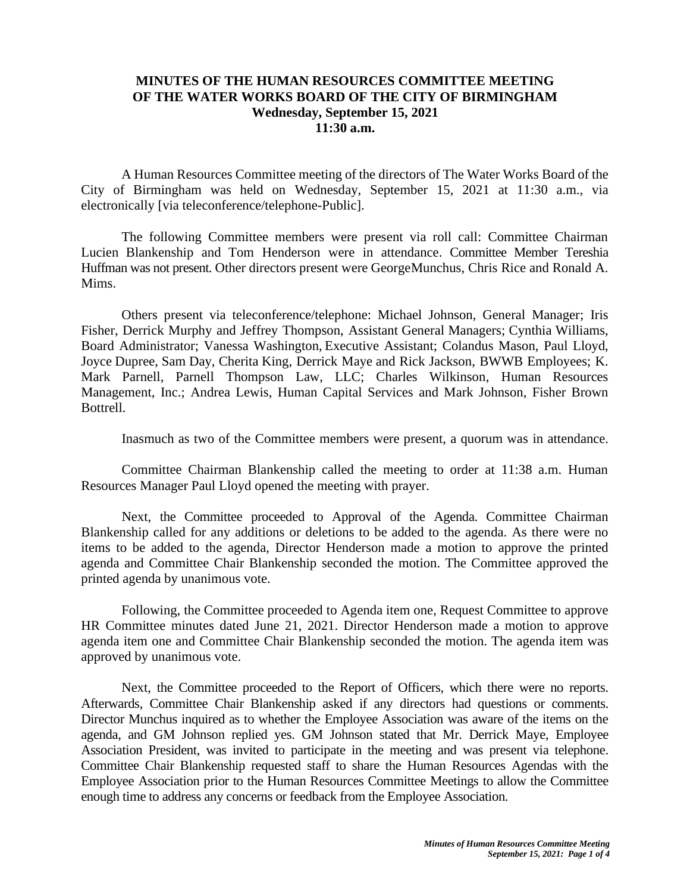## **MINUTES OF THE HUMAN RESOURCES COMMITTEE MEETING OF THE WATER WORKS BOARD OF THE CITY OF BIRMINGHAM Wednesday, September 15, 2021 11:30 a.m.**

A Human Resources Committee meeting of the directors of The Water Works Board of the City of Birmingham was held on Wednesday, September 15, 2021 at 11:30 a.m., via electronically [via teleconference/telephone-Public].

The following Committee members were present via roll call: Committee Chairman Lucien Blankenship and Tom Henderson were in attendance. Committee Member Tereshia Huffman was not present. Other directors present were GeorgeMunchus, Chris Rice and Ronald A. Mims.

Others present via teleconference/telephone: Michael Johnson, General Manager; Iris Fisher, Derrick Murphy and Jeffrey Thompson, Assistant General Managers; Cynthia Williams, Board Administrator; Vanessa Washington, Executive Assistant; Colandus Mason, Paul Lloyd, Joyce Dupree, Sam Day, Cherita King, Derrick Maye and Rick Jackson, BWWB Employees; K. Mark Parnell, Parnell Thompson Law, LLC; Charles Wilkinson, Human Resources Management, Inc.; Andrea Lewis, Human Capital Services and Mark Johnson, Fisher Brown Bottrell.

Inasmuch as two of the Committee members were present, a quorum was in attendance.

Committee Chairman Blankenship called the meeting to order at 11:38 a.m. Human Resources Manager Paul Lloyd opened the meeting with prayer.

Next, the Committee proceeded to Approval of the Agenda. Committee Chairman Blankenship called for any additions or deletions to be added to the agenda. As there were no items to be added to the agenda, Director Henderson made a motion to approve the printed agenda and Committee Chair Blankenship seconded the motion. The Committee approved the printed agenda by unanimous vote.

Following, the Committee proceeded to Agenda item one, Request Committee to approve HR Committee minutes dated June 21, 2021. Director Henderson made a motion to approve agenda item one and Committee Chair Blankenship seconded the motion. The agenda item was approved by unanimous vote.

Next, the Committee proceeded to the Report of Officers, which there were no reports. Afterwards, Committee Chair Blankenship asked if any directors had questions or comments. Director Munchus inquired as to whether the Employee Association was aware of the items on the agenda, and GM Johnson replied yes. GM Johnson stated that Mr. Derrick Maye, Employee Association President, was invited to participate in the meeting and was present via telephone. Committee Chair Blankenship requested staff to share the Human Resources Agendas with the Employee Association prior to the Human Resources Committee Meetings to allow the Committee enough time to address any concerns or feedback from the Employee Association.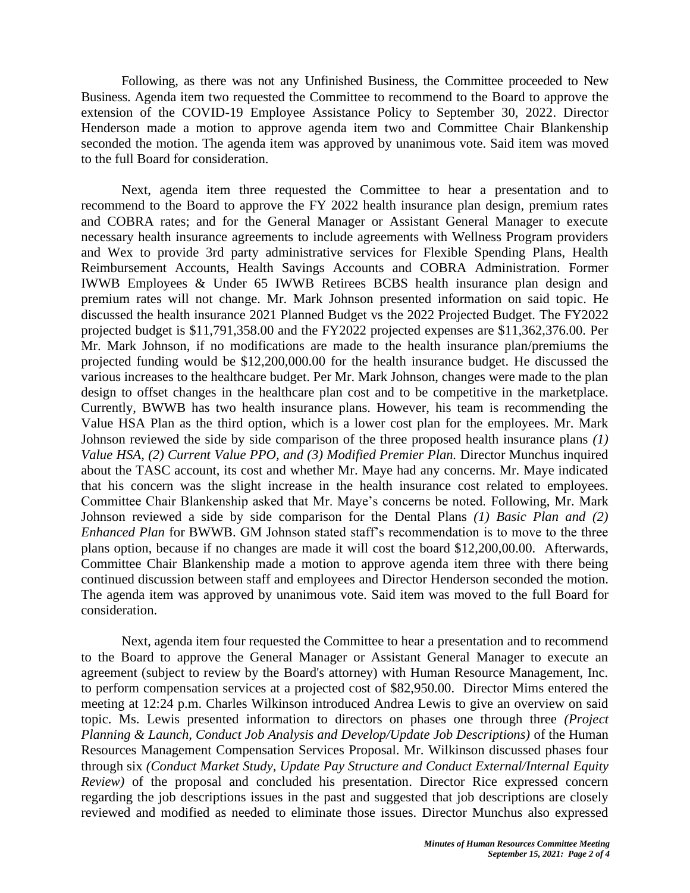Following, as there was not any Unfinished Business, the Committee proceeded to New Business. Agenda item two requested the Committee to recommend to the Board to approve the extension of the COVID-19 Employee Assistance Policy to September 30, 2022. Director Henderson made a motion to approve agenda item two and Committee Chair Blankenship seconded the motion. The agenda item was approved by unanimous vote. Said item was moved to the full Board for consideration.

Next, agenda item three requested the Committee to hear a presentation and to recommend to the Board to approve the FY 2022 health insurance plan design, premium rates and COBRA rates; and for the General Manager or Assistant General Manager to execute necessary health insurance agreements to include agreements with Wellness Program providers and Wex to provide 3rd party administrative services for Flexible Spending Plans, Health Reimbursement Accounts, Health Savings Accounts and COBRA Administration. Former IWWB Employees & Under 65 IWWB Retirees BCBS health insurance plan design and premium rates will not change. Mr. Mark Johnson presented information on said topic. He discussed the health insurance 2021 Planned Budget vs the 2022 Projected Budget. The FY2022 projected budget is \$11,791,358.00 and the FY2022 projected expenses are \$11,362,376.00. Per Mr. Mark Johnson, if no modifications are made to the health insurance plan/premiums the projected funding would be \$12,200,000.00 for the health insurance budget. He discussed the various increases to the healthcare budget. Per Mr. Mark Johnson, changes were made to the plan design to offset changes in the healthcare plan cost and to be competitive in the marketplace. Currently, BWWB has two health insurance plans. However, his team is recommending the Value HSA Plan as the third option, which is a lower cost plan for the employees. Mr. Mark Johnson reviewed the side by side comparison of the three proposed health insurance plans *(1) Value HSA, (2) Current Value PPO, and (3) Modified Premier Plan.* Director Munchus inquired about the TASC account, its cost and whether Mr. Maye had any concerns. Mr. Maye indicated that his concern was the slight increase in the health insurance cost related to employees. Committee Chair Blankenship asked that Mr. Maye's concerns be noted. Following, Mr. Mark Johnson reviewed a side by side comparison for the Dental Plans *(1) Basic Plan and (2) Enhanced Plan* for BWWB. GM Johnson stated staff's recommendation is to move to the three plans option, because if no changes are made it will cost the board \$12,200,00.00. Afterwards, Committee Chair Blankenship made a motion to approve agenda item three with there being continued discussion between staff and employees and Director Henderson seconded the motion. The agenda item was approved by unanimous vote. Said item was moved to the full Board for consideration.

Next, agenda item four requested the Committee to hear a presentation and to recommend to the Board to approve the General Manager or Assistant General Manager to execute an agreement (subject to review by the Board's attorney) with Human Resource Management, Inc. to perform compensation services at a projected cost of \$82,950.00. Director Mims entered the meeting at 12:24 p.m. Charles Wilkinson introduced Andrea Lewis to give an overview on said topic. Ms. Lewis presented information to directors on phases one through three *(Project Planning & Launch, Conduct Job Analysis and Develop/Update Job Descriptions)* of the Human Resources Management Compensation Services Proposal. Mr. Wilkinson discussed phases four through six *(Conduct Market Study, Update Pay Structure and Conduct External/Internal Equity Review)* of the proposal and concluded his presentation. Director Rice expressed concern regarding the job descriptions issues in the past and suggested that job descriptions are closely reviewed and modified as needed to eliminate those issues. Director Munchus also expressed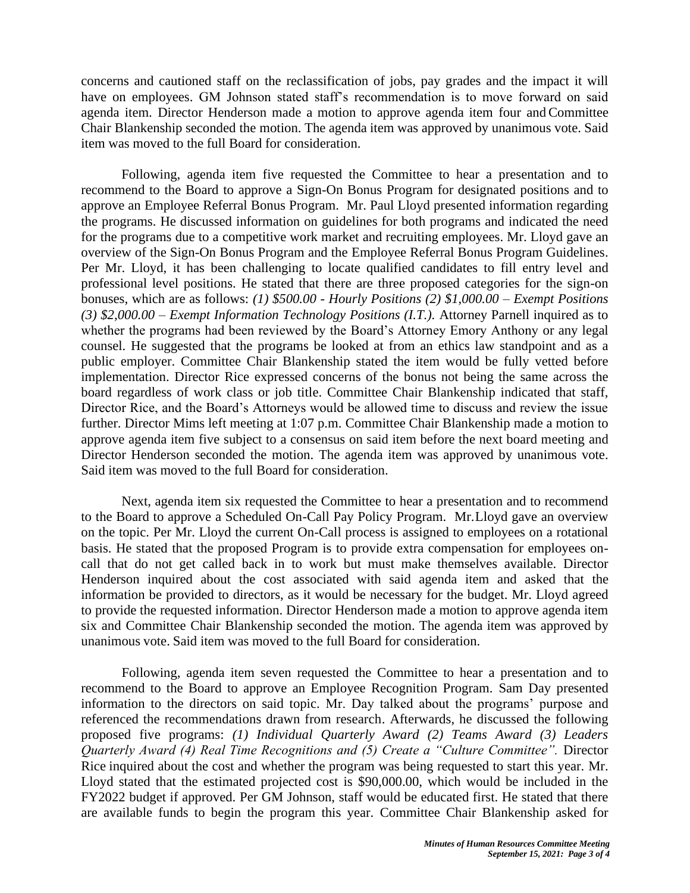concerns and cautioned staff on the reclassification of jobs, pay grades and the impact it will have on employees. GM Johnson stated staff's recommendation is to move forward on said agenda item. Director Henderson made a motion to approve agenda item four and Committee Chair Blankenship seconded the motion. The agenda item was approved by unanimous vote. Said item was moved to the full Board for consideration.

Following, agenda item five requested the Committee to hear a presentation and to recommend to the Board to approve a Sign-On Bonus Program for designated positions and to approve an Employee Referral Bonus Program. Mr. Paul Lloyd presented information regarding the programs. He discussed information on guidelines for both programs and indicated the need for the programs due to a competitive work market and recruiting employees. Mr. Lloyd gave an overview of the Sign-On Bonus Program and the Employee Referral Bonus Program Guidelines. Per Mr. Lloyd, it has been challenging to locate qualified candidates to fill entry level and professional level positions. He stated that there are three proposed categories for the sign-on bonuses, which are as follows: *(1) \$500.00 - Hourly Positions (2) \$1,000.00 – Exempt Positions (3) \$2,000.00 – Exempt Information Technology Positions (I.T.).* Attorney Parnell inquired as to whether the programs had been reviewed by the Board's Attorney Emory Anthony or any legal counsel. He suggested that the programs be looked at from an ethics law standpoint and as a public employer. Committee Chair Blankenship stated the item would be fully vetted before implementation. Director Rice expressed concerns of the bonus not being the same across the board regardless of work class or job title. Committee Chair Blankenship indicated that staff, Director Rice, and the Board's Attorneys would be allowed time to discuss and review the issue further. Director Mims left meeting at 1:07 p.m. Committee Chair Blankenship made a motion to approve agenda item five subject to a consensus on said item before the next board meeting and Director Henderson seconded the motion. The agenda item was approved by unanimous vote. Said item was moved to the full Board for consideration.

Next, agenda item six requested the Committee to hear a presentation and to recommend to the Board to approve a Scheduled On-Call Pay Policy Program. Mr.Lloyd gave an overview on the topic. Per Mr. Lloyd the current On-Call process is assigned to employees on a rotational basis. He stated that the proposed Program is to provide extra compensation for employees oncall that do not get called back in to work but must make themselves available. Director Henderson inquired about the cost associated with said agenda item and asked that the information be provided to directors, as it would be necessary for the budget. Mr. Lloyd agreed to provide the requested information. Director Henderson made a motion to approve agenda item six and Committee Chair Blankenship seconded the motion. The agenda item was approved by unanimous vote. Said item was moved to the full Board for consideration.

Following, agenda item seven requested the Committee to hear a presentation and to recommend to the Board to approve an Employee Recognition Program. Sam Day presented information to the directors on said topic. Mr. Day talked about the programs' purpose and referenced the recommendations drawn from research. Afterwards, he discussed the following proposed five programs: *(1) Individual Quarterly Award (2) Teams Award (3) Leaders Quarterly Award (4) Real Time Recognitions and (5) Create a "Culture Committee".* Director Rice inquired about the cost and whether the program was being requested to start this year. Mr. Lloyd stated that the estimated projected cost is \$90,000.00, which would be included in the FY2022 budget if approved. Per GM Johnson, staff would be educated first. He stated that there are available funds to begin the program this year. Committee Chair Blankenship asked for